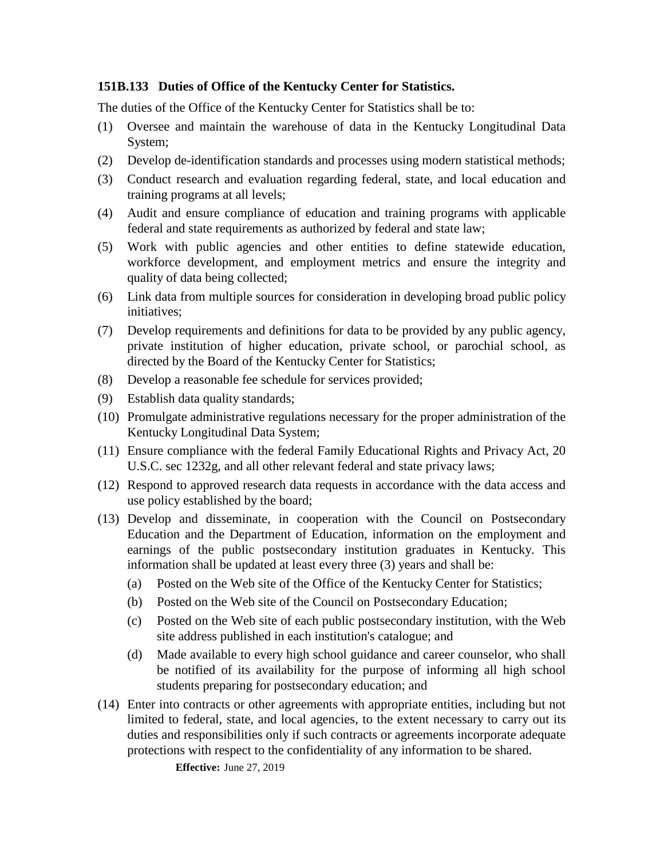## **151B.133 Duties of Office of the Kentucky Center for Statistics.**

The duties of the Office of the Kentucky Center for Statistics shall be to:

- (1) Oversee and maintain the warehouse of data in the Kentucky Longitudinal Data System;
- (2) Develop de-identification standards and processes using modern statistical methods;
- (3) Conduct research and evaluation regarding federal, state, and local education and training programs at all levels;
- (4) Audit and ensure compliance of education and training programs with applicable federal and state requirements as authorized by federal and state law;
- (5) Work with public agencies and other entities to define statewide education, workforce development, and employment metrics and ensure the integrity and quality of data being collected;
- (6) Link data from multiple sources for consideration in developing broad public policy initiatives;
- (7) Develop requirements and definitions for data to be provided by any public agency, private institution of higher education, private school, or parochial school, as directed by the Board of the Kentucky Center for Statistics;
- (8) Develop a reasonable fee schedule for services provided;
- (9) Establish data quality standards;
- (10) Promulgate administrative regulations necessary for the proper administration of the Kentucky Longitudinal Data System;
- (11) Ensure compliance with the federal Family Educational Rights and Privacy Act, 20 U.S.C. sec 1232g, and all other relevant federal and state privacy laws;
- (12) Respond to approved research data requests in accordance with the data access and use policy established by the board;
- (13) Develop and disseminate, in cooperation with the Council on Postsecondary Education and the Department of Education, information on the employment and earnings of the public postsecondary institution graduates in Kentucky. This information shall be updated at least every three (3) years and shall be:
	- (a) Posted on the Web site of the Office of the Kentucky Center for Statistics;
	- (b) Posted on the Web site of the Council on Postsecondary Education;
	- (c) Posted on the Web site of each public postsecondary institution, with the Web site address published in each institution's catalogue; and
	- (d) Made available to every high school guidance and career counselor, who shall be notified of its availability for the purpose of informing all high school students preparing for postsecondary education; and
- (14) Enter into contracts or other agreements with appropriate entities, including but not limited to federal, state, and local agencies, to the extent necessary to carry out its duties and responsibilities only if such contracts or agreements incorporate adequate protections with respect to the confidentiality of any information to be shared.

**Effective:** June 27, 2019